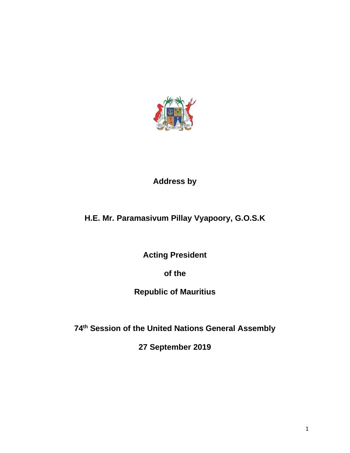

# **Address by**

# **H.E. Mr. Paramasivum Pillay Vyapoory, G.O.S.K**

**Acting President** 

**of the**

# **Republic of Mauritius**

**74th Session of the United Nations General Assembly**

**27 September 2019**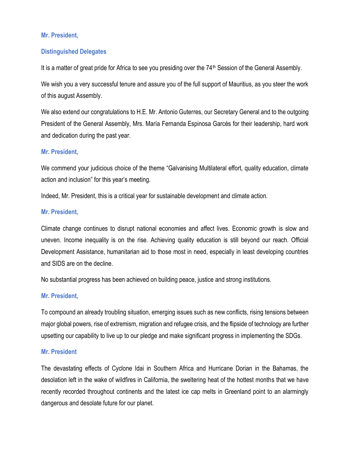## **Mr. President,**

### **Distinguished Delegates**

It is a matter of great pride for Africa to see you presiding over the 74<sup>th</sup> Session of the General Assembly.

We wish you a very successful tenure and assure you of the full support of Mauritius, as you steer the work of this august Assembly.

We also extend our congratulations to H.E. Mr. Antonio Guterres, our Secretary General and to the outgoing President of the General Assembly, Mrs. María Fernanda Espinosa Garcés for their leadership, hard work and dedication during the past year.

#### **Mr. President,**

We commend your judicious choice of the theme "Galvanising Multilateral effort, quality education, climate action and inclusion" for this year's meeting.

Indeed, Mr. President, this is a critical year for sustainable development and climate action.

#### **Mr. President,**

Climate change continues to disrupt national economies and affect lives. Economic growth is slow and uneven. Income inequality is on the rise. Achieving quality education is still beyond our reach. Official Development Assistance, humanitarian aid to those most in need, especially in least developing countries and SIDS are on the decline.

No substantial progress has been achieved on building peace, justice and strong institutions.

#### **Mr. President,**

To compound an already troubling situation, emerging issues such as new conflicts, rising tensions between major global powers, rise of extremism, migration and refugee crisis, and the flipside of technology are further upsetting our capability to live up to our pledge and make significant progress in implementing the SDGs.

#### **Mr. President**

The devastating effects of Cyclone Idai in Southern Africa and Hurricane Dorian in the Bahamas, the desolation left in the wake of wildfires in California, the sweltering heat of the hottest months that we have recently recorded throughout continents and the latest ice cap melts in Greenland point to an alarmingly dangerous and desolate future for our planet.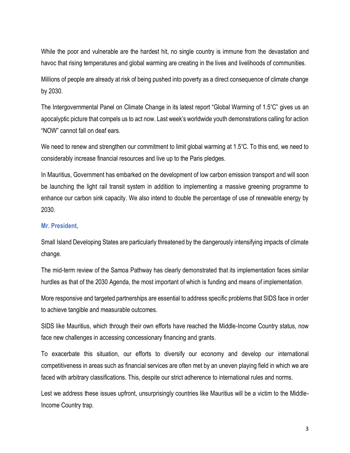While the poor and vulnerable are the hardest hit, no single country is immune from the devastation and havoc that rising temperatures and global warming are creating in the lives and livelihoods of communities.

Millions of people are already at risk of being pushed into poverty as a direct consequence of climate change by 2030.

The Intergovernmental Panel on Climate Change in its latest report "Global Warming of 1.5ºC" gives us an apocalyptic picture that compels us to act now. Last week's worldwide youth demonstrations calling for action "NOW" cannot fall on deaf ears.

We need to renew and strengthen our commitment to limit global warming at 1.5°C. To this end, we need to considerably increase financial resources and live up to the Paris pledges.

In Mauritius, Government has embarked on the development of low carbon emission transport and will soon be launching the light rail transit system in addition to implementing a massive greening programme to enhance our carbon sink capacity. We also intend to double the percentage of use of renewable energy by 2030.

#### **Mr. President,**

Small Island Developing States are particularly threatened by the dangerously intensifying impacts of climate change.

The mid-term review of the Samoa Pathway has clearly demonstrated that its implementation faces similar hurdles as that of the 2030 Agenda, the most important of which is funding and means of implementation.

More responsive and targeted partnerships are essential to address specific problems that SIDS face in order to achieve tangible and measurable outcomes.

SIDS like Mauritius, which through their own efforts have reached the Middle-Income Country status, now face new challenges in accessing concessionary financing and grants.

To exacerbate this situation, our efforts to diversify our economy and develop our international competitiveness in areas such as financial services are often met by an uneven playing field in which we are faced with arbitrary classifications. This, despite our strict adherence to international rules and norms.

Lest we address these issues upfront, unsurprisingly countries like Mauritius will be a victim to the Middle-Income Country trap.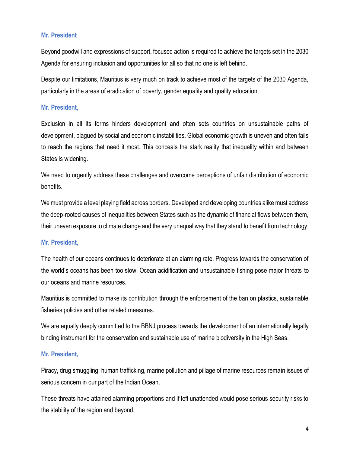## **Mr. President**

Beyond goodwill and expressions of support, focused action is required to achieve the targets set in the 2030 Agenda for ensuring inclusion and opportunities for all so that no one is left behind.

Despite our limitations, Mauritius is very much on track to achieve most of the targets of the 2030 Agenda, particularly in the areas of eradication of poverty, gender equality and quality education.

#### **Mr. President,**

Exclusion in all its forms hinders development and often sets countries on unsustainable paths of development, plagued by social and economic instabilities. Global economic growth is uneven and often fails to reach the regions that need it most. This conceals the stark reality that inequality within and between States is widening.

We need to urgently address these challenges and overcome perceptions of unfair distribution of economic benefits.

We must provide a level playing field across borders. Developed and developing countries alike must address the deep-rooted causes of inequalities between States such as the dynamic of financial flows between them, their uneven exposure to climate change and the very unequal way that they stand to benefit from technology.

#### **Mr. President,**

The health of our oceans continues to deteriorate at an alarming rate. Progress towards the conservation of the world's oceans has been too slow. Ocean acidification and unsustainable fishing pose major threats to our oceans and marine resources.

Mauritius is committed to make its contribution through the enforcement of the ban on plastics, sustainable fisheries policies and other related measures.

We are equally deeply committed to the BBNJ process towards the development of an internationally legally binding instrument for the conservation and sustainable use of marine biodiversity in the High Seas.

#### **Mr. President,**

Piracy, drug smuggling, human trafficking, marine pollution and pillage of marine resources remain issues of serious concern in our part of the Indian Ocean.

These threats have attained alarming proportions and if left unattended would pose serious security risks to the stability of the region and beyond.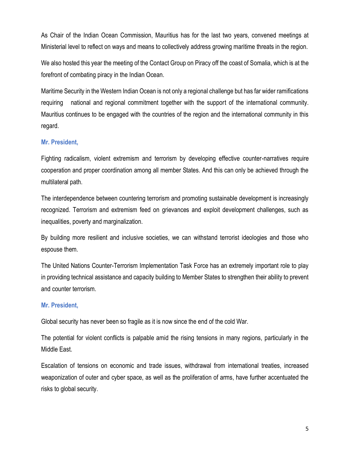As Chair of the Indian Ocean Commission, Mauritius has for the last two years, convened meetings at Ministerial level to reflect on ways and means to collectively address growing maritime threats in the region.

We also hosted this year the meeting of the Contact Group on Piracy off the coast of Somalia, which is at the forefront of combating piracy in the Indian Ocean.

Maritime Security in the Western Indian Ocean is not only a regional challenge but has far wider ramifications requiring national and regional commitment together with the support of the international community. Mauritius continues to be engaged with the countries of the region and the international community in this regard.

#### **Mr. President,**

Fighting radicalism, violent extremism and terrorism by developing effective counter-narratives require cooperation and proper coordination among all member States. And this can only be achieved through the multilateral path.

The interdependence between countering terrorism and promoting sustainable development is increasingly recognized. Terrorism and extremism feed on grievances and exploit development challenges, such as inequalities, poverty and marginalization.

By building more resilient and inclusive societies, we can withstand terrorist ideologies and those who espouse them.

The United Nations Counter-Terrorism Implementation Task Force has an extremely important role to play in providing technical assistance and capacity building to Member States to strengthen their ability to prevent and counter terrorism.

#### **Mr. President,**

Global security has never been so fragile as it is now since the end of the cold War.

The potential for violent conflicts is palpable amid the rising tensions in many regions, particularly in the Middle East.

Escalation of tensions on economic and trade issues, withdrawal from international treaties, increased weaponization of outer and cyber space, as well as the proliferation of arms, have further accentuated the risks to global security.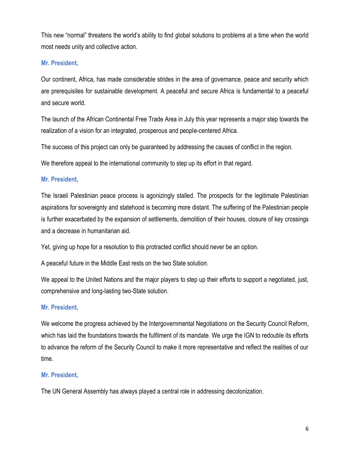This new "normal" threatens the world's ability to find global solutions to problems at a time when the world most needs unity and collective action.

### **Mr. President,**

Our continent, Africa, has made considerable strides in the area of governance, peace and security which are prerequisites for sustainable development. A peaceful and secure Africa is fundamental to a peaceful and secure world.

The launch of the African Continental Free Trade Area in July this year represents a major step towards the realization of a vision for an integrated, prosperous and people-centered Africa.

The success of this project can only be guaranteed by addressing the causes of conflict in the region.

We therefore appeal to the international community to step up its effort in that regard.

## **Mr. President,**

The Israeli Palestinian peace process is agonizingly stalled. The prospects for the legitimate Palestinian aspirations for sovereignty and statehood is becoming more distant. The suffering of the Palestinian people is further exacerbated by the expansion of settlements, demolition of their houses, closure of key crossings and a decrease in humanitarian aid.

Yet, giving up hope for a resolution to this protracted conflict should never be an option.

A peaceful future in the Middle East rests on the two State solution.

We appeal to the United Nations and the major players to step up their efforts to support a negotiated, just, comprehensive and long-lasting two-State solution.

#### **Mr. President,**

We welcome the progress achieved by the Intergovernmental Negotiations on the Security Council Reform, which has laid the foundations towards the fulfilment of its mandate. We urge the IGN to redouble its efforts to advance the reform of the Security Council to make it more representative and reflect the realities of our time.

## **Mr. President,**

The UN General Assembly has always played a central role in addressing decolonization.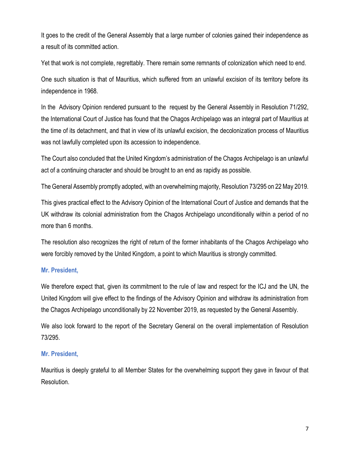It goes to the credit of the General Assembly that a large number of colonies gained their independence as a result of its committed action.

Yet that work is not complete, regrettably. There remain some remnants of colonization which need to end.

One such situation is that of Mauritius, which suffered from an unlawful excision of its territory before its independence in 1968.

In the Advisory Opinion rendered pursuant to the request by the General Assembly in Resolution 71/292, the International Court of Justice has found that the Chagos Archipelago was an integral part of Mauritius at the time of its detachment, and that in view of its unlawful excision, the decolonization process of Mauritius was not lawfully completed upon its accession to independence.

The Court also concluded that the United Kingdom's administration of the Chagos Archipelago is an unlawful act of a continuing character and should be brought to an end as rapidly as possible.

The General Assembly promptly adopted, with an overwhelming majority, Resolution 73/295 on 22 May 2019.

This gives practical effect to the Advisory Opinion of the International Court of Justice and demands that the UK withdraw its colonial administration from the Chagos Archipelago unconditionally within a period of no more than 6 months.

The resolution also recognizes the right of return of the former inhabitants of the Chagos Archipelago who were forcibly removed by the United Kingdom, a point to which Mauritius is strongly committed.

#### **Mr. President,**

We therefore expect that, given its commitment to the rule of law and respect for the ICJ and the UN, the United Kingdom will give effect to the findings of the Advisory Opinion and withdraw its administration from the Chagos Archipelago unconditionally by 22 November 2019, as requested by the General Assembly.

We also look forward to the report of the Secretary General on the overall implementation of Resolution 73/295.

#### **Mr. President,**

Mauritius is deeply grateful to all Member States for the overwhelming support they gave in favour of that Resolution.